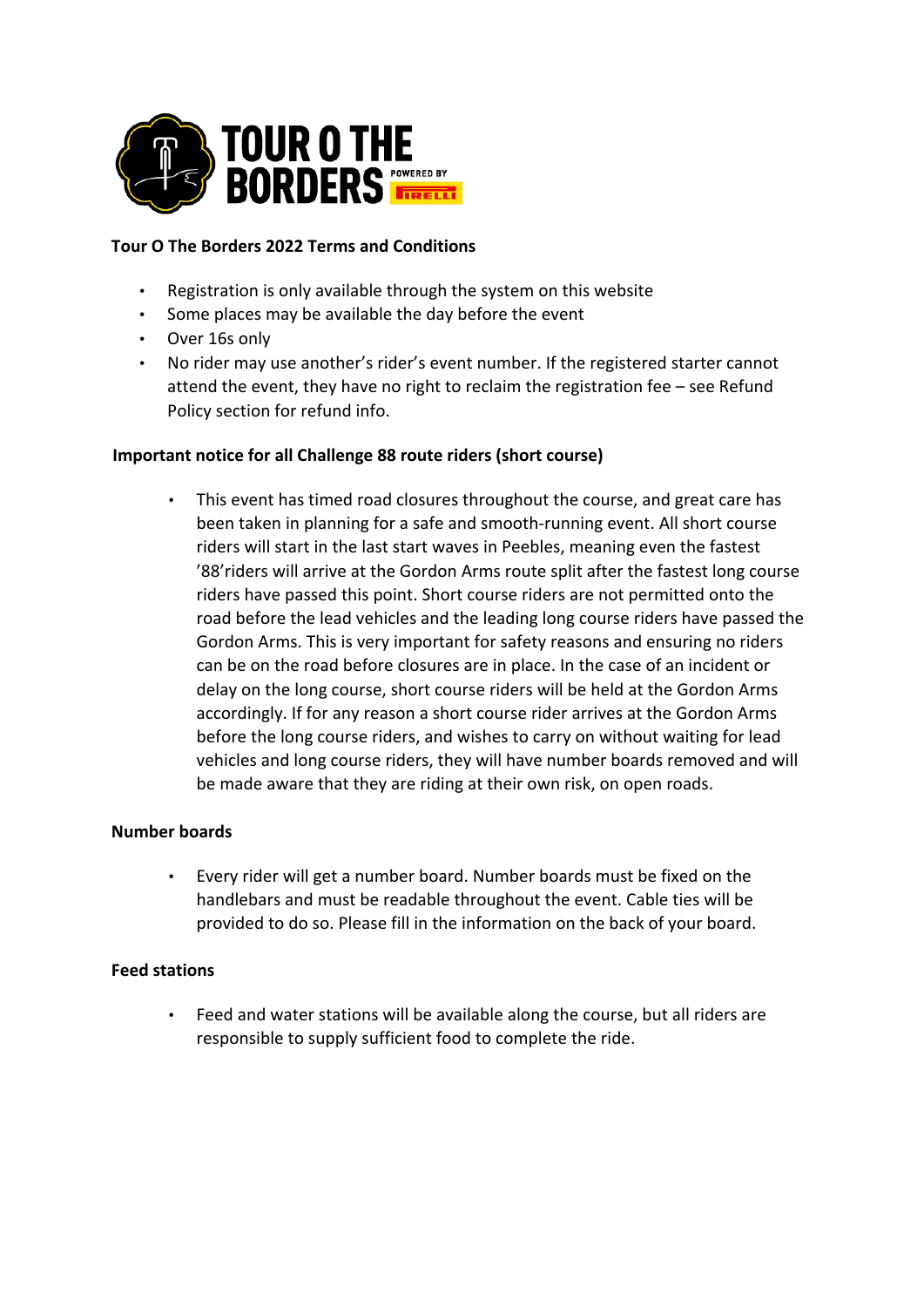

## **Tour O The Borders 2022 Terms and Conditions**

- Registration is only available through the system on this website
- Some places may be available the day before the event
- Over 16s only
- No rider may use another's rider's event number. If the registered starter cannot attend the event, they have no right to reclaim the registration fee – see Refund Policy section for refund info.

### **Important notice for all Challenge 88 route riders (short course)**

• This event has timed road closures throughout the course, and great care has been taken in planning for a safe and smooth-running event. All short course riders will start in the last start waves in Peebles, meaning even the fastest '88'riders will arrive at the Gordon Arms route split after the fastest long course riders have passed this point. Short course riders are not permitted onto the road before the lead vehicles and the leading long course riders have passed the Gordon Arms. This is very important for safety reasons and ensuring no riders can be on the road before closures are in place. In the case of an incident or delay on the long course, short course riders will be held at the Gordon Arms accordingly. If for any reason a short course rider arrives at the Gordon Arms before the long course riders, and wishes to carry on without waiting for lead vehicles and long course riders, they will have number boards removed and will be made aware that they are riding at their own risk, on open roads.

### **Number boards**

• Every rider will get a number board. Number boards must be fixed on the handlebars and must be readable throughout the event. Cable ties will be provided to do so. Please fill in the information on the back of your board.

### **Feed stations**

• Feed and water stations will be available along the course, but all riders are responsible to supply sufficient food to complete the ride.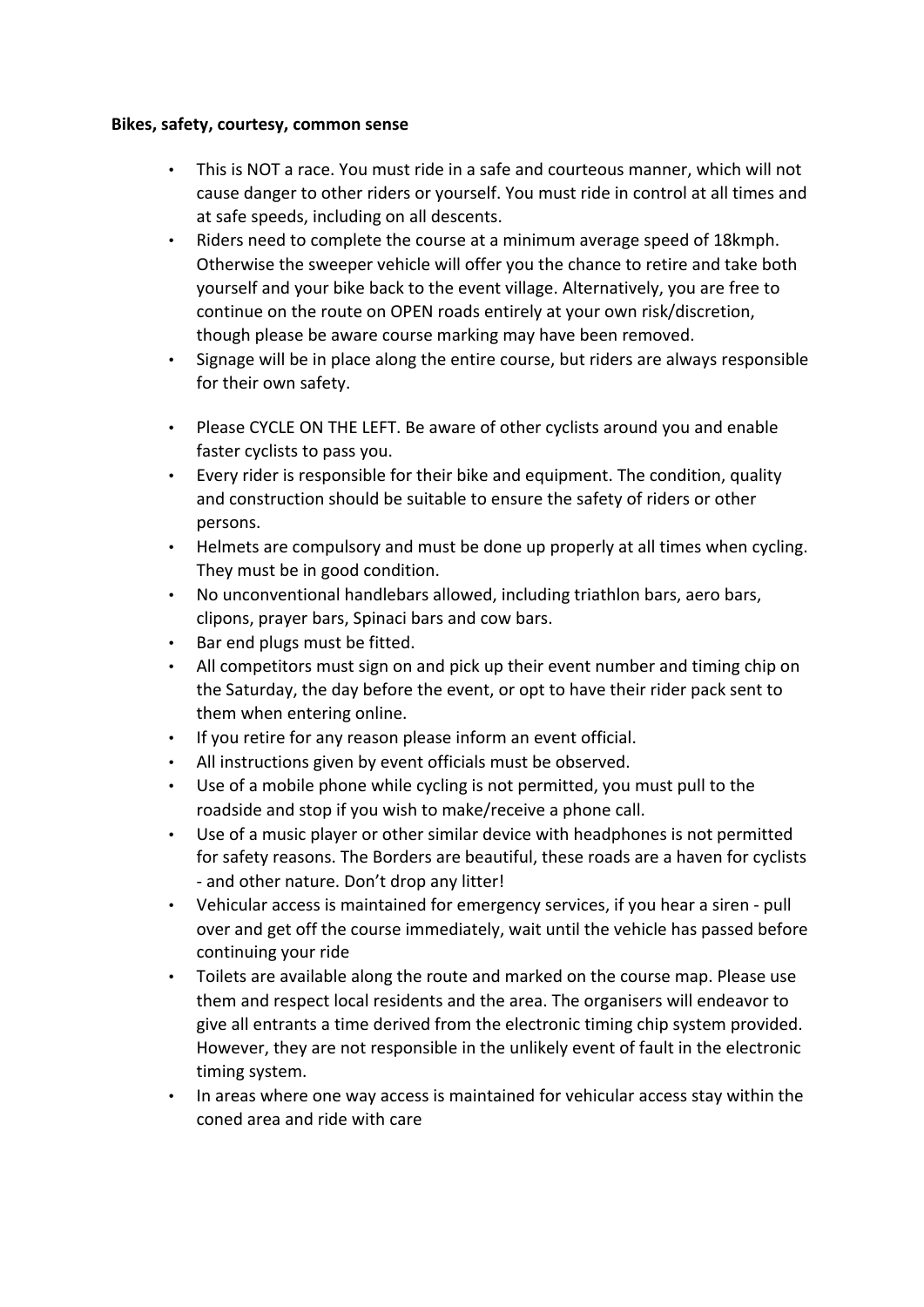### **Bikes, safety, courtesy, common sense**

- This is NOT a race. You must ride in a safe and courteous manner, which will not cause danger to other riders or yourself. You must ride in control at all times and at safe speeds, including on all descents.
- Riders need to complete the course at a minimum average speed of 18kmph. Otherwise the sweeper vehicle will offer you the chance to retire and take both yourself and your bike back to the event village. Alternatively, you are free to continue on the route on OPEN roads entirely at your own risk/discretion, though please be aware course marking may have been removed.
- Signage will be in place along the entire course, but riders are always responsible for their own safety.
- Please CYCLE ON THE LEFT. Be aware of other cyclists around you and enable faster cyclists to pass you.
- Every rider is responsible for their bike and equipment. The condition, quality and construction should be suitable to ensure the safety of riders or other persons.
- Helmets are compulsory and must be done up properly at all times when cycling. They must be in good condition.
- No unconventional handlebars allowed, including triathlon bars, aero bars, clipons, prayer bars, Spinaci bars and cow bars.
- Bar end plugs must be fitted.
- All competitors must sign on and pick up their event number and timing chip on the Saturday, the day before the event, or opt to have their rider pack sent to them when entering online.
- If you retire for any reason please inform an event official.
- All instructions given by event officials must be observed.
- Use of a mobile phone while cycling is not permitted, you must pull to the roadside and stop if you wish to make/receive a phone call.
- Use of a music player or other similar device with headphones is not permitted for safety reasons. The Borders are beautiful, these roads are a haven for cyclists - and other nature. Don't drop any litter!
- Vehicular access is maintained for emergency services, if you hear a siren pull over and get off the course immediately, wait until the vehicle has passed before continuing your ride
- Toilets are available along the route and marked on the course map. Please use them and respect local residents and the area. The organisers will endeavor to give all entrants a time derived from the electronic timing chip system provided. However, they are not responsible in the unlikely event of fault in the electronic timing system.
- In areas where one way access is maintained for vehicular access stay within the coned area and ride with care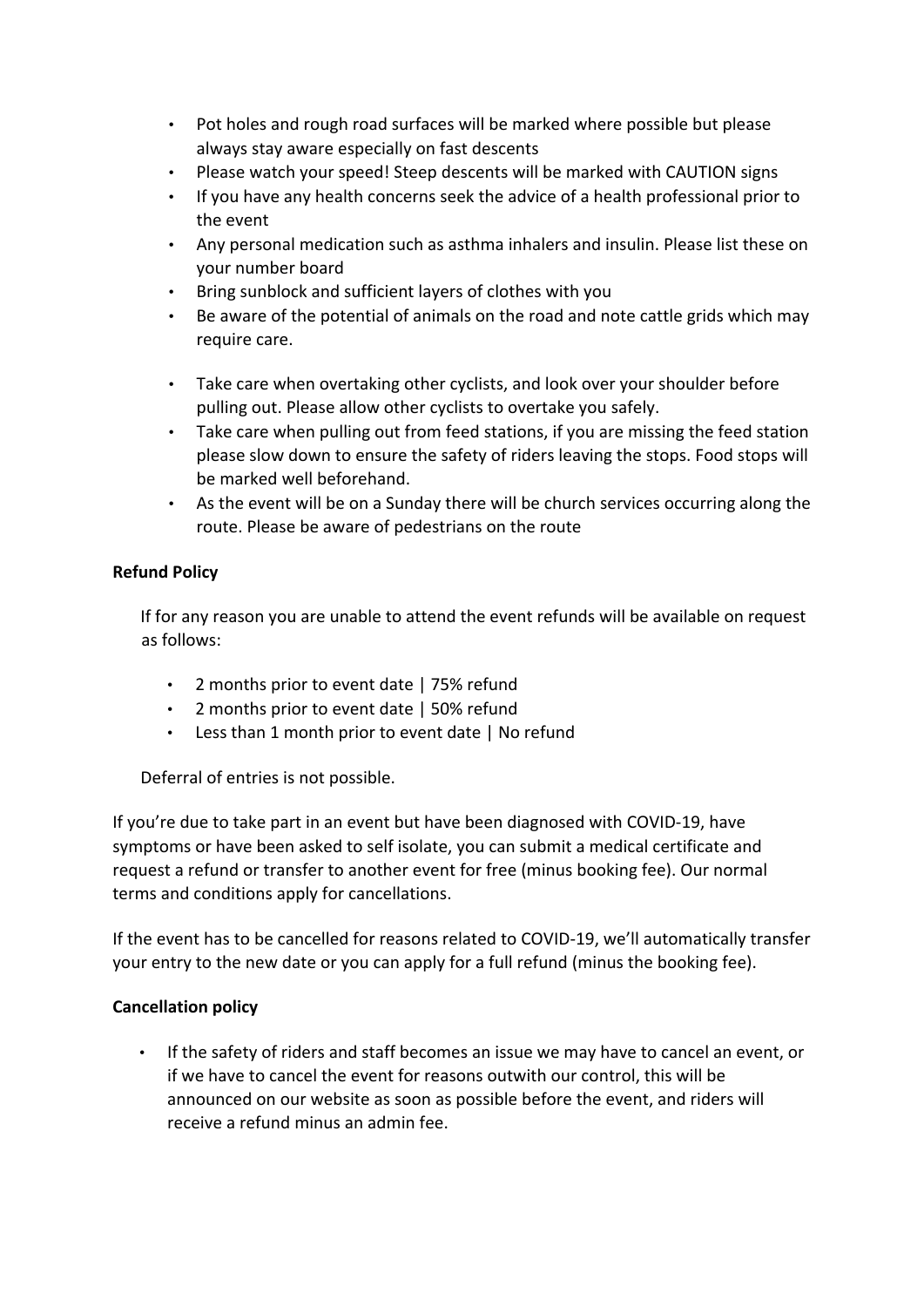- Pot holes and rough road surfaces will be marked where possible but please always stay aware especially on fast descents
- Please watch your speed! Steep descents will be marked with CAUTION signs
- If you have any health concerns seek the advice of a health professional prior to the event
- Any personal medication such as asthma inhalers and insulin. Please list these on your number board
- Bring sunblock and sufficient layers of clothes with you
- Be aware of the potential of animals on the road and note cattle grids which may require care.
- Take care when overtaking other cyclists, and look over your shoulder before pulling out. Please allow other cyclists to overtake you safely.
- Take care when pulling out from feed stations, if you are missing the feed station please slow down to ensure the safety of riders leaving the stops. Food stops will be marked well beforehand.
- As the event will be on a Sunday there will be church services occurring along the route. Please be aware of pedestrians on the route

# **Refund Policy**

If for any reason you are unable to attend the event refunds will be available on request as follows:

- 2 months prior to event date | 75% refund
- 2 months prior to event date | 50% refund
- Less than 1 month prior to event date | No refund

Deferral of entries is not possible.

If you're due to take part in an event but have been diagnosed with COVID-19, have symptoms or have been asked to self isolate, you can submit a medical certificate and request a refund or transfer to another event for free (minus booking fee). Our normal terms and conditions apply for cancellations.

If the event has to be cancelled for reasons related to COVID-19, we'll automatically transfer your entry to the new date or you can apply for a full refund (minus the booking fee).

## **Cancellation policy**

• If the safety of riders and staff becomes an issue we may have to cancel an event, or if we have to cancel the event for reasons outwith our control, this will be announced on our website as soon as possible before the event, and riders will receive a refund minus an admin fee.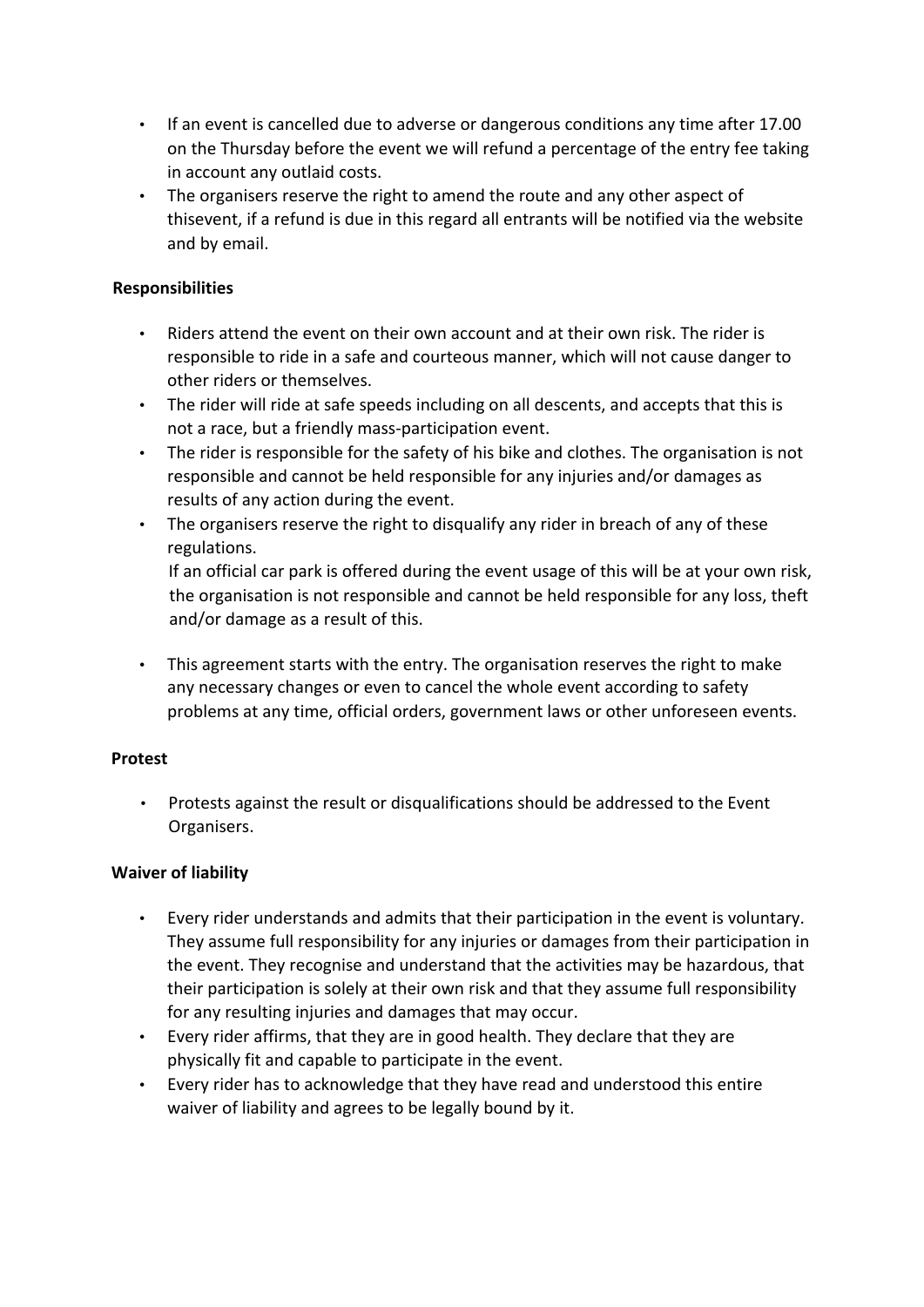- If an event is cancelled due to adverse or dangerous conditions any time after 17.00 on the Thursday before the event we will refund a percentage of the entry fee taking in account any outlaid costs.
- The organisers reserve the right to amend the route and any other aspect of thisevent, if a refund is due in this regard all entrants will be notified via the website and by email.

## **Responsibilities**

- Riders attend the event on their own account and at their own risk. The rider is responsible to ride in a safe and courteous manner, which will not cause danger to other riders or themselves.
- The rider will ride at safe speeds including on all descents, and accepts that this is not a race, but a friendly mass-participation event.
- The rider is responsible for the safety of his bike and clothes. The organisation is not responsible and cannot be held responsible for any injuries and/or damages as results of any action during the event.
- The organisers reserve the right to disqualify any rider in breach of any of these regulations.

If an official car park is offered during the event usage of this will be at your own risk, the organisation is not responsible and cannot be held responsible for any loss, theft and/or damage as a result of this.

• This agreement starts with the entry. The organisation reserves the right to make any necessary changes or even to cancel the whole event according to safety problems at any time, official orders, government laws or other unforeseen events.

### **Protest**

• Protests against the result or disqualifications should be addressed to the Event Organisers.

## **Waiver of liability**

- Every rider understands and admits that their participation in the event is voluntary. They assume full responsibility for any injuries or damages from their participation in the event. They recognise and understand that the activities may be hazardous, that their participation is solely at their own risk and that they assume full responsibility for any resulting injuries and damages that may occur.
- Every rider affirms, that they are in good health. They declare that they are physically fit and capable to participate in the event.
- Every rider has to acknowledge that they have read and understood this entire waiver of liability and agrees to be legally bound by it.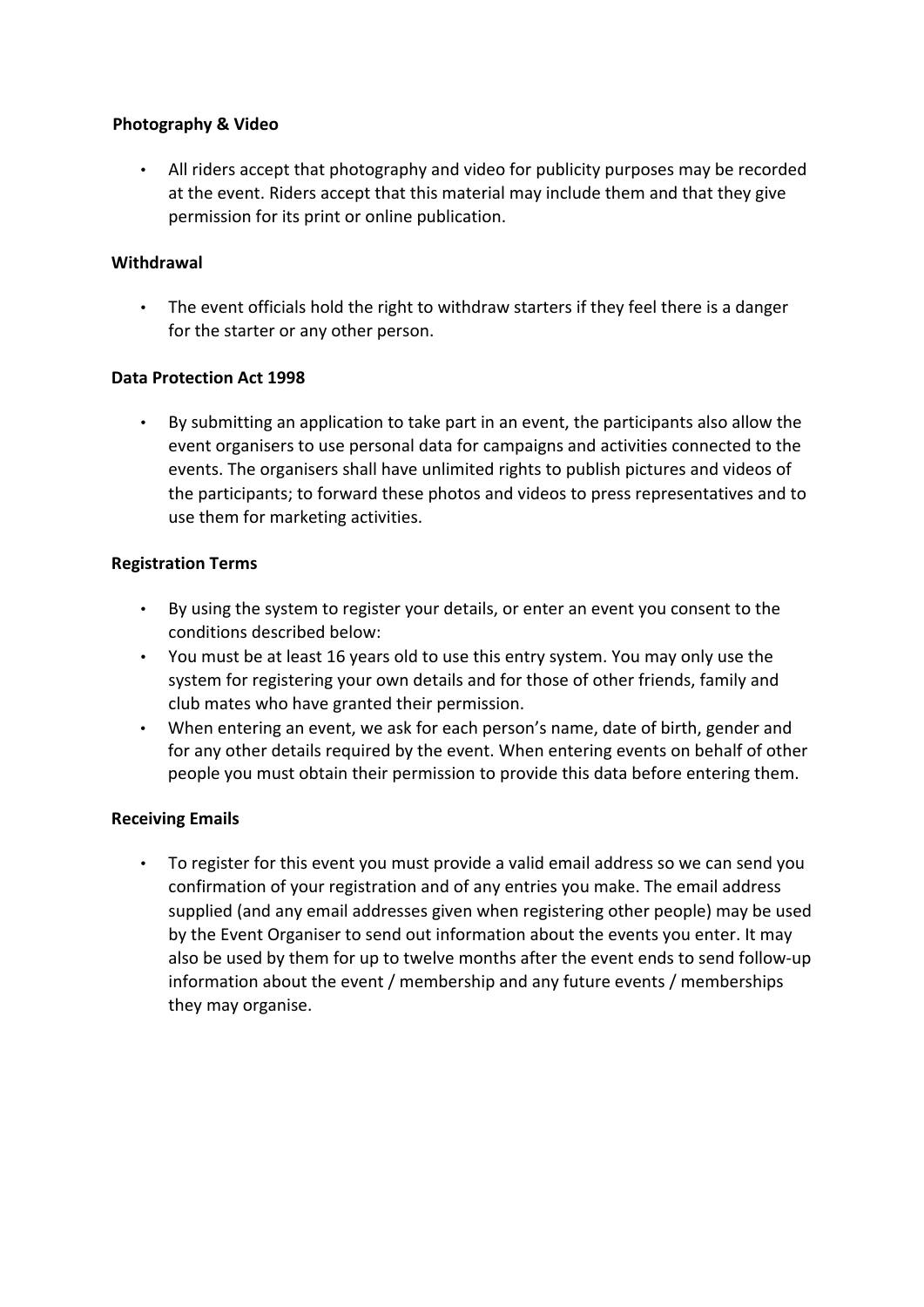## **Photography & Video**

• All riders accept that photography and video for publicity purposes may be recorded at the event. Riders accept that this material may include them and that they give permission for its print or online publication.

## **Withdrawal**

• The event officials hold the right to withdraw starters if they feel there is a danger for the starter or any other person.

## **Data Protection Act 1998**

• By submitting an application to take part in an event, the participants also allow the event organisers to use personal data for campaigns and activities connected to the events. The organisers shall have unlimited rights to publish pictures and videos of the participants; to forward these photos and videos to press representatives and to use them for marketing activities.

## **Registration Terms**

- By using the system to register your details, or enter an event you consent to the conditions described below:
- You must be at least 16 years old to use this entry system. You may only use the system for registering your own details and for those of other friends, family and club mates who have granted their permission.
- When entering an event, we ask for each person's name, date of birth, gender and for any other details required by the event. When entering events on behalf of other people you must obtain their permission to provide this data before entering them.

### **Receiving Emails**

• To register for this event you must provide a valid email address so we can send you confirmation of your registration and of any entries you make. The email address supplied (and any email addresses given when registering other people) may be used by the Event Organiser to send out information about the events you enter. It may also be used by them for up to twelve months after the event ends to send follow-up information about the event / membership and any future events / memberships they may organise.